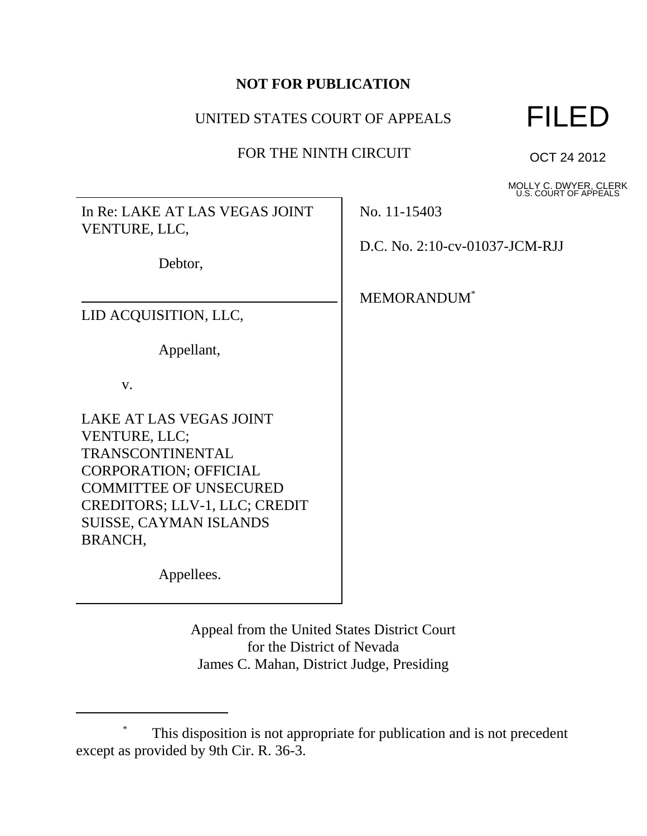# **NOT FOR PUBLICATION**

# UNITED STATES COURT OF APPEALS

# FOR THE NINTH CIRCUIT



OCT 24 2012

MOLLY C. DWYER, CLERK U.S. COURT OF APPEALS

In Re: LAKE AT LAS VEGAS JOINT VENTURE, LLC,

Debtor,

LID ACQUISITION, LLC,

Appellant,

v.

LAKE AT LAS VEGAS JOINT VENTURE, LLC; TRANSCONTINENTAL CORPORATION; OFFICIAL COMMITTEE OF UNSECURED CREDITORS; LLV-1, LLC; CREDIT SUISSE, CAYMAN ISLANDS BRANCH,

Appellees.

Appeal from the United States District Court for the District of Nevada James C. Mahan, District Judge, Presiding

No. 11-15403

D.C. No. 2:10-cv-01037-JCM-RJJ

MEMORANDUM\*

This disposition is not appropriate for publication and is not precedent except as provided by 9th Cir. R. 36-3.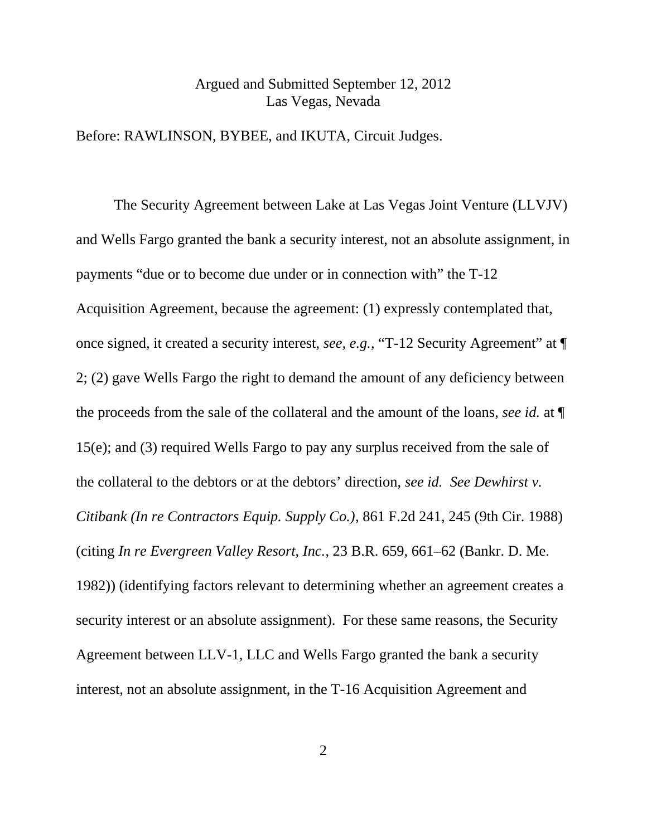#### Argued and Submitted September 12, 2012 Las Vegas, Nevada

Before: RAWLINSON, BYBEE, and IKUTA, Circuit Judges.

The Security Agreement between Lake at Las Vegas Joint Venture (LLVJV) and Wells Fargo granted the bank a security interest, not an absolute assignment, in payments "due or to become due under or in connection with" the T-12 Acquisition Agreement, because the agreement: (1) expressly contemplated that, once signed, it created a security interest, *see, e.g.*, "T-12 Security Agreement" at ¶ 2; (2) gave Wells Fargo the right to demand the amount of any deficiency between the proceeds from the sale of the collateral and the amount of the loans, *see id.* at ¶ 15(e); and (3) required Wells Fargo to pay any surplus received from the sale of the collateral to the debtors or at the debtors' direction, *see id. See Dewhirst v. Citibank (In re Contractors Equip. Supply Co.)*, 861 F.2d 241, 245 (9th Cir. 1988) (citing *In re Evergreen Valley Resort, Inc.*, 23 B.R. 659, 661–62 (Bankr. D. Me. 1982)) (identifying factors relevant to determining whether an agreement creates a security interest or an absolute assignment). For these same reasons, the Security Agreement between LLV-1, LLC and Wells Fargo granted the bank a security interest, not an absolute assignment, in the T-16 Acquisition Agreement and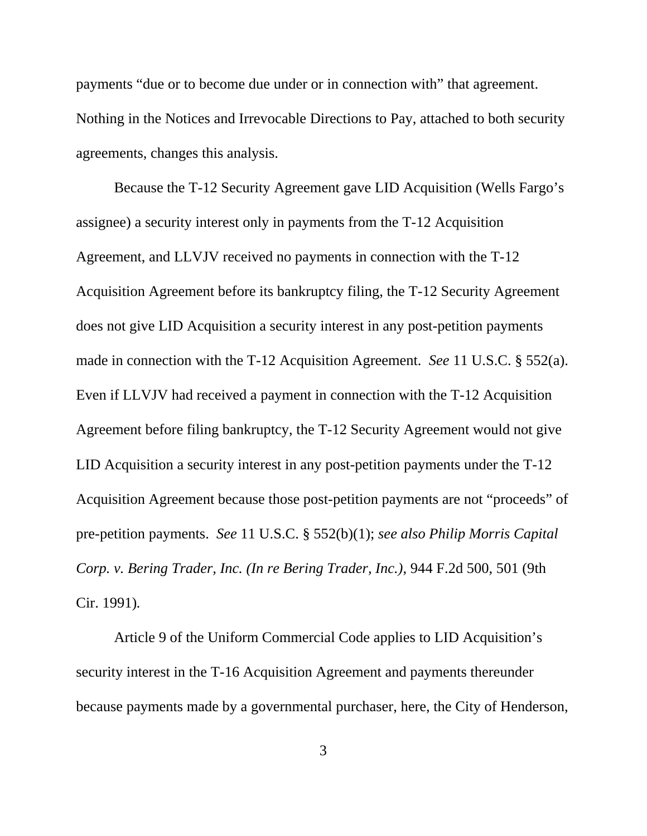payments "due or to become due under or in connection with" that agreement. Nothing in the Notices and Irrevocable Directions to Pay, attached to both security agreements, changes this analysis.

Because the T-12 Security Agreement gave LID Acquisition (Wells Fargo's assignee) a security interest only in payments from the T-12 Acquisition Agreement, and LLVJV received no payments in connection with the T-12 Acquisition Agreement before its bankruptcy filing, the T-12 Security Agreement does not give LID Acquisition a security interest in any post-petition payments made in connection with the T-12 Acquisition Agreement. *See* 11 U.S.C. § 552(a). Even if LLVJV had received a payment in connection with the T-12 Acquisition Agreement before filing bankruptcy, the T-12 Security Agreement would not give LID Acquisition a security interest in any post-petition payments under the T-12 Acquisition Agreement because those post-petition payments are not "proceeds" of pre-petition payments. *See* 11 U.S.C. § 552(b)(1); *see also Philip Morris Capital Corp. v. Bering Trader, Inc. (In re Bering Trader, Inc.)*, 944 F.2d 500, 501 (9th Cir. 1991)*.* 

Article 9 of the Uniform Commercial Code applies to LID Acquisition's security interest in the T-16 Acquisition Agreement and payments thereunder because payments made by a governmental purchaser, here, the City of Henderson,